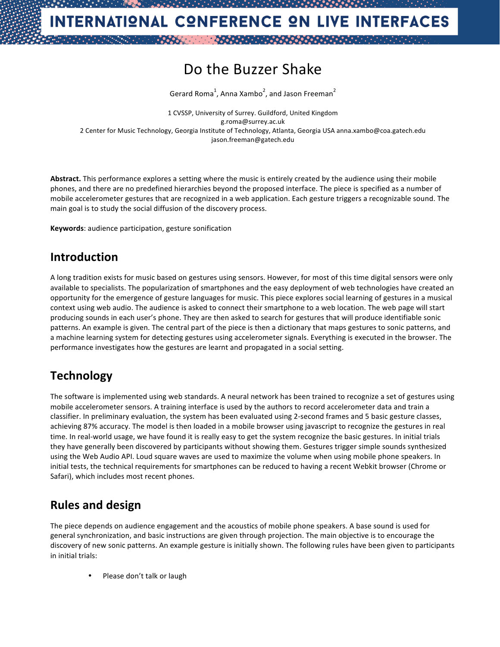# Do the Buzzer Shake

Gerard Roma<sup>1</sup>, Anna Xambo<sup>2</sup>, and Jason Freeman<sup>2</sup>

1 CVSSP, University of Surrey. Guildford, United Kingdom g.roma@surrey.ac.uk 2 Center for Music Technology, Georgia Institute of Technology, Atlanta, Georgia USA anna.xambo@coa.gatech.edu jason.freeman@gatech.edu

Abstract. This performance explores a setting where the music is entirely created by the audience using their mobile phones, and there are no predefined hierarchies beyond the proposed interface. The piece is specified as a number of mobile accelerometer gestures that are recognized in a web application. Each gesture triggers a recognizable sound. The main goal is to study the social diffusion of the discovery process.

**Keywords:** audience participation, gesture sonification

### **Introduction**

A long tradition exists for music based on gestures using sensors. However, for most of this time digital sensors were only available to specialists. The popularization of smartphones and the easy deployment of web technologies have created an opportunity for the emergence of gesture languages for music. This piece explores social learning of gestures in a musical context using web audio. The audience is asked to connect their smartphone to a web location. The web page will start producing sounds in each user's phone. They are then asked to search for gestures that will produce identifiable sonic patterns. An example is given. The central part of the piece is then a dictionary that maps gestures to sonic patterns, and a machine learning system for detecting gestures using accelerometer signals. Everything is executed in the browser. The performance investigates how the gestures are learnt and propagated in a social setting.

## **Technology**

The software is implemented using web standards. A neural network has been trained to recognize a set of gestures using mobile accelerometer sensors. A training interface is used by the authors to record accelerometer data and train a classifier. In preliminary evaluation, the system has been evaluated using 2-second frames and 5 basic gesture classes, achieving 87% accuracy. The model is then loaded in a mobile browser using javascript to recognize the gestures in real time. In real-world usage, we have found it is really easy to get the system recognize the basic gestures. In initial trials they have generally been discovered by participants without showing them. Gestures trigger simple sounds synthesized using the Web Audio API. Loud square waves are used to maximize the volume when using mobile phone speakers. In initial tests, the technical requirements for smartphones can be reduced to having a recent Webkit browser (Chrome or Safari), which includes most recent phones.

### **Rules and design**

The piece depends on audience engagement and the acoustics of mobile phone speakers. A base sound is used for general synchronization, and basic instructions are given through projection. The main objective is to encourage the discovery of new sonic patterns. An example gesture is initially shown. The following rules have been given to participants in initial trials:

Please don't talk or laugh